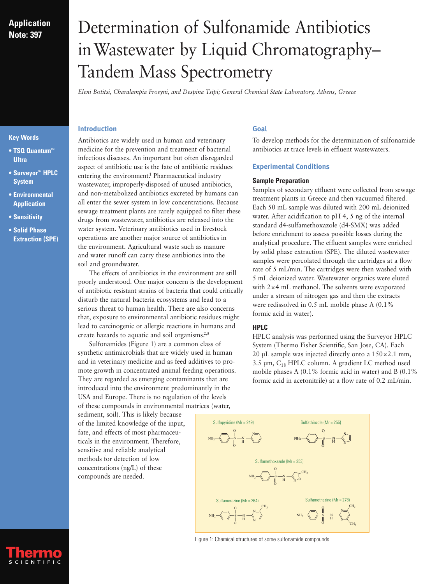# **Application Note: 397**

# Determination of Sulfonamide Antibiotics inWastewater by Liquid Chromatography– Tandem Mass Spectrometry

*Eleni Botitsi, Charalampia Frosyni, and Despina Tsipi; General Chemical State Laboratory, Athens, Greece*

**• TSQ Quantum**™ **Ultra**

**Key Words**

- **Surveyor**™ **HPLC System**
- **Environmental Application**
- **Sensitivity**
- **Solid Phase Extraction (SPE)**

# **Introduction**

Antibiotics are widely used in human and veterinary medicine for the prevention and treatment of bacterial infectious diseases. An important but often disregarded aspect of antibiotic use is the fate of antibiotic residues entering the environment.**<sup>1</sup>** Pharmaceutical industry wastewater, improperly-disposed of unused antibiotics, and non-metabolized antibiotics excreted by humans can all enter the sewer system in low concentrations. Because sewage treatment plants are rarely equipped to filter these drugs from wastewater, antibiotics are released into the water system. Veterinary antibiotics used in livestock operations are another major source of antibiotics in the environment. Agricultural waste such as manure and water runoff can carry these antibiotics into the soil and groundwater.

The effects of antibiotics in the environment are still poorly understood. One major concern is the development of antibiotic resistant strains of bacteria that could critically disturb the natural bacteria ecosystems and lead to a serious threat to human health. There are also concerns that, exposure to environmental antibiotic residues might lead to carcinogenic or allergic reactions in humans and create hazards to aquatic and soil organisms.**2,3**

Sulfonamides (Figure 1) are a common class of synthetic antimicrobials that are widely used in human and in veterinary medicine and as feed additives to promote growth in concentrated animal feeding operations. They are regarded as emerging contaminants that are introduced into the environment predominantly in the USA and Europe. There is no regulation of the levels of these compounds in environmental matrices (water,

sediment, soil). This is likely because of the limited knowledge of the input, fate, and effects of most pharmaceuticals in the environment. Therefore, sensitive and reliable analytical methods for detection of low concentrations (ng/L) of these compounds are needed.

# **Goal**

To develop methods for the determination of sulfonamide antibiotics at trace levels in effluent wastewaters.

# **Experimental Conditions**

# **Sample Preparation**

Samples of secondary effluent were collected from sewage treatment plants in Greece and then vacuumed filtered. Each 50 mL sample was diluted with 200 mL deionized water. After acidification to pH 4, 5 ng of the internal standard d4-sulfamethoxazole (d4-SMX) was added before enrichment to assess possible losses during the analytical procedure. The effluent samples were enriched by solid phase extraction (SPE). The diluted wastewater samples were percolated through the cartridges at a flow rate of 5 mL/min. The cartridges were then washed with 5 mL deionized water. Wastewater organics were eluted with 2×4 mL methanol. The solvents were evaporated under a stream of nitrogen gas and then the extracts were redissolved in 0.5 mL mobile phase A (0.1% formic acid in water).

# **HPLC**

HPLC analysis was performed using the Surveyor HPLC System (Thermo Fisher Scientific, San Jose, CA). Each 20 µL sample was injected directly onto a  $150 \times 2.1$  mm,  $3.5 \mu m$ ,  $C_{18}$  HPLC column. A gradient LC method used mobile phases A (0.1% formic acid in water) and B (0.1% formic acid in acetonitrile) at a flow rate of 0.2 mL/min.



Figure 1: Chemical structures of some sulfonamide compounds

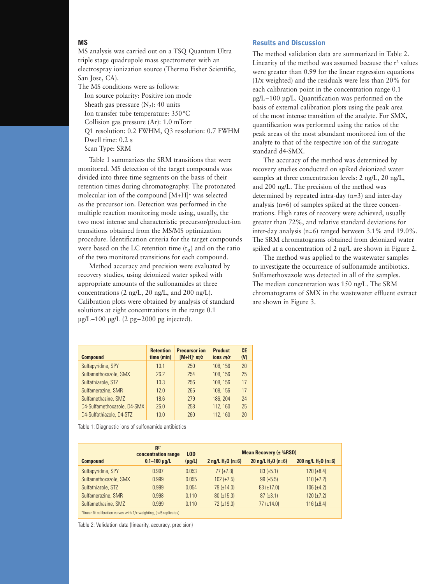## **MS**

MS analysis was carried out on a TSQ Quantum Ultra triple stage quadrupole mass spectrometer with an electrospray ionization source (Thermo Fisher Scientific, San Jose, CA).

The MS conditions were as follows: Ion source polarity: Positive ion mode Sheath gas pressure  $(N_2)$ : 40 units Ion transfer tube temperature: 350°C Collision gas pressure (Ar): 1.0 mTorr Q1 resolution: 0.2 FWHM, Q3 resolution: 0.7 FWHM Dwell time: 0.2 s Scan Type: SRM

Table 1 summarizes the SRM transitions that were monitored. MS detection of the target compounds was divided into three time segments on the basis of their retention times during chromatography. The protonated molecular ion of the compound [M+H]+ was selected as the precursor ion. Detection was performed in the multiple reaction monitoring mode using, usually, the two most intense and characteristic precursor/product-ion transitions obtained from the MS/MS optimization procedure. Identification criteria for the target compounds were based on the LC retention time  $(t_R)$  and on the ratio of the two monitored transitions for each compound.

Method accuracy and precision were evaluated by recovery studies, using deionized water spiked with appropriate amounts of the sulfonamides at three concentrations (2 ng/L, 20 ng/L, and 200 ng/L). Calibration plots were obtained by analysis of standard solutions at eight concentrations in the range 0.1  $\mu$ g/L–100  $\mu$ g/L (2 pg–2000 pg injected).

# **Results and Discussion**

The method validation data are summarized in Table 2. Linearity of the method was assumed because the  $r^2$  values were greater than 0.99 for the linear regression equations (1/x weighted) and the residuals were less than 20% for each calibration point in the concentration range 0.1 µg/L–100 µg/L. Quantification was performed on the basis of external calibration plots using the peak area of the most intense transition of the analyte. For SMX, quantification was performed using the ratios of the peak areas of the most abundant monitored ion of the analyte to that of the respective ion of the surrogate standard d4-SMX.

The accuracy of the method was determined by recovery studies conducted on spiked deionized water samples at three concentration levels: 2 ng/L, 20 ng/L, and 200 ng/L. The precision of the method was determined by repeated intra-day (n=3) and inter-day analysis (n=6) of samples spiked at the three concentrations. High rates of recovery were achieved, usually greater than 72%, and relative standard deviations for inter-day analysis (n=6) ranged between 3.1% and 19.0%. The SRM chromatograms obtained from deionized water spiked at a concentration of 2 ng/L are shown in Figure 2.

The method was applied to the wastewater samples to investigate the occurrence of sulfonamide antibiotics. Sulfamethoxazole was detected in all of the samples. The median concentration was 150 ng/L. The SRM chromatograms of SMX in the wastewater effluent extract are shown in Figure 3.

| <b>Compound</b>             | <b>Retention</b><br>time (min) | <b>Precursor ion</b><br>$[M+H]^+ m/z$ | <b>Product</b><br>ions $m/z$ | <b>CE</b><br>(V) |
|-----------------------------|--------------------------------|---------------------------------------|------------------------------|------------------|
| Sulfapyridine, SPY          | 10.1                           | 250                                   | 108, 156                     | 20               |
| Sulfamethoxazole, SMX       | 26.2                           | 254                                   | 108, 156                     | 25               |
| Sulfathiazole, STZ          | 10.3                           | 256                                   | 108, 156                     | 17               |
| Sulfamerazine, SMR          | 12.0                           | 265                                   | 108, 156                     | 17               |
| Sulfamethazine, SMZ         | 18.6                           | 279                                   | 186, 204                     | 24               |
| D4-Sulfamethoxazole, D4-SMX | 26.0                           | 258                                   | 112, 160                     | 25               |
| D4-Sulfathiazole, D4-STZ    | 10.0                           | 260                                   | 112, 160                     | 20               |

Table 1: Diagnostic ions of sulfonamide antibiotics

|                                                                     | $R^{2*}$<br>concentration range | <b>LOD</b>  | <b>Mean Recovery (<math>\pm</math> %RSD)</b> |                                       |                       |  |  |
|---------------------------------------------------------------------|---------------------------------|-------------|----------------------------------------------|---------------------------------------|-----------------------|--|--|
| <b>Compound</b>                                                     | $0.1 - 100$ µg/L                | $(\mu g/L)$ | 2 ng/L $H_2O$ (n=6)                          | 20 $\text{ng/L H}_{2}0 \text{ (n=6)}$ | 200 ng/L $H_2O$ (n=6) |  |  |
| Sulfapyridine, SPY                                                  | 0.997                           | 0.053       | $77(\pm 7.8)$                                | $83 (\pm 5.1)$                        | $120 (\pm 8.4)$       |  |  |
| Sulfamethoxazole, SMX                                               | 0.999                           | 0.055       | $102 (\pm 7.5)$                              | $99 \ (\pm 5.5)$                      | $110 (\pm 7.2)$       |  |  |
| Sulfathiazole, STZ                                                  | 0.999                           | 0.054       | $79 (+14.0)$                                 | $83 (\pm 17.0)$                       | $106 (\pm 4.2)$       |  |  |
| Sulfamerazine, SMR                                                  | 0.998                           | 0.110       | $80 (\pm 15.3)$                              | $87 (\pm 3.1)$                        | $120 (\pm 7.2)$       |  |  |
| Sulfamethazine, SMZ                                                 | 0.999                           | 0.110       | $72 (\pm 19.0)$                              | $77(\pm 14.0)$                        | $116 (\pm 8.4)$       |  |  |
| *linear fit calibration curves with 1/x weighting, (n=5 replicates) |                                 |             |                                              |                                       |                       |  |  |

Table 2: Validation data (linearity, accuracy, precision)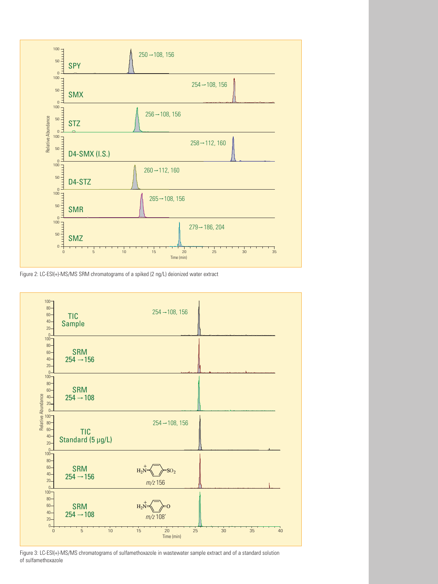

Figure 2: LC-ESI(+)-MS/MS SRM chromatograms of a spiked (2 ng/L) deionized water extract



Figure 3: LC-ESI(+)-MS/MS chromatograms of sulfamethoxazole in wastewater sample extract and of a standard solution of sulfamethoxazole